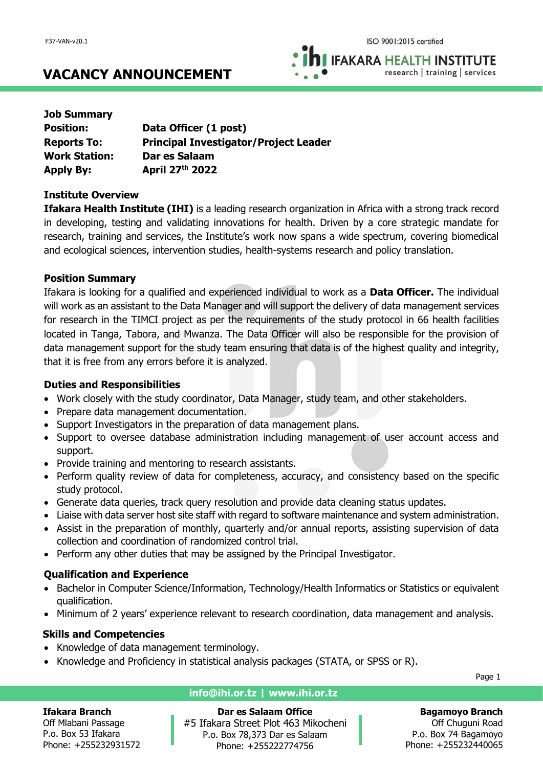**IFAKARA HEALTH INSTITUTE** research | training | services

**VACANCY ANNOUNCEMENT**

| <b>Job Summary</b>   |                                              |
|----------------------|----------------------------------------------|
| <b>Position:</b>     | Data Officer (1 post)                        |
| <b>Reports To:</b>   | <b>Principal Investigator/Project Leader</b> |
| <b>Work Station:</b> | Dar es Salaam                                |
| <b>Apply By:</b>     | April 27th 2022                              |

### **Institute Overview**

**Ifakara Health Institute (IHI)** is a leading research organization in Africa with a strong track record in developing, testing and validating innovations for health. Driven by a core strategic mandate for research, training and services, the Institute's work now spans a wide spectrum, covering biomedical and ecological sciences, intervention studies, health-systems research and policy translation.

## **Position Summary**

Ifakara is looking for a qualified and experienced individual to work as a **Data Officer.** The individual will work as an assistant to the Data Manager and will support the delivery of data management services for research in the TIMCI project as per the requirements of the study protocol in 66 health facilities located in Tanga, Tabora, and Mwanza. The Data Officer will also be responsible for the provision of data management support for the study team ensuring that data is of the highest quality and integrity, that it is free from any errors before it is analyzed.

### **Duties and Responsibilities**

- Work closely with the study coordinator, Data Manager, study team, and other stakeholders.
- Prepare data management documentation.
- Support Investigators in the preparation of data management plans.
- Support to oversee database administration including management of user account access and support.
- Provide training and mentoring to research assistants.
- Perform quality review of data for completeness, accuracy, and consistency based on the specific study protocol.
- Generate data queries, track query resolution and provide data cleaning status updates.
- Liaise with data server host site staff with regard to software maintenance and system administration.
- Assist in the preparation of monthly, quarterly and/or annual reports, assisting supervision of data collection and coordination of randomized control trial.
- Perform any other duties that may be assigned by the Principal Investigator.

# **Qualification and Experience**

- Bachelor in Computer Science/Information, Technology/Health Informatics or Statistics or equivalent qualification.
- Minimum of 2 years' experience relevant to research coordination, data management and analysis.

# **Skills and Competencies**

- Knowledge of data management terminology.
- Knowledge and Proficiency in statistical analysis packages (STATA, or SPSS or R).

Page 1

### **Ifakara Branch**

Off Mlabani Passage P.o. Box 53 Ifakara Phone: +255232931572

## **info@ihi.or.tz | www.ihi.or.tz**

**Dar es Salaam Office** #5 Ifakara Street Plot 463 Mikocheni P.o. Box 78,373 Dar es Salaam Phone: +255222774756

**Bagamoyo Branch**

Off Chuguni Road P.o. Box 74 Bagamoyo Phone: +255232440065